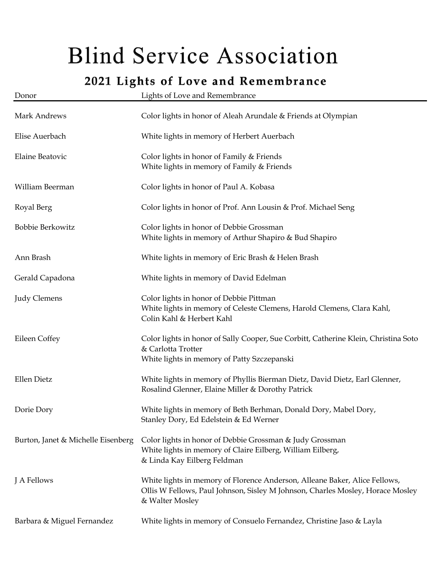## **Blind Service Association**

## 2021 Lights of Love and Remembrance

| Donor                              | Lights of Love and Remembrance                                                                                                                                                  |
|------------------------------------|---------------------------------------------------------------------------------------------------------------------------------------------------------------------------------|
| Mark Andrews                       | Color lights in honor of Aleah Arundale & Friends at Olympian                                                                                                                   |
| Elise Auerbach                     | White lights in memory of Herbert Auerbach                                                                                                                                      |
| Elaine Beatovic                    | Color lights in honor of Family & Friends<br>White lights in memory of Family & Friends                                                                                         |
| William Beerman                    | Color lights in honor of Paul A. Kobasa                                                                                                                                         |
| Royal Berg                         | Color lights in honor of Prof. Ann Lousin & Prof. Michael Seng                                                                                                                  |
| Bobbie Berkowitz                   | Color lights in honor of Debbie Grossman<br>White lights in memory of Arthur Shapiro & Bud Shapiro                                                                              |
| Ann Brash                          | White lights in memory of Eric Brash & Helen Brash                                                                                                                              |
| Gerald Capadona                    | White lights in memory of David Edelman                                                                                                                                         |
| <b>Judy Clemens</b>                | Color lights in honor of Debbie Pittman<br>White lights in memory of Celeste Clemens, Harold Clemens, Clara Kahl,<br>Colin Kahl & Herbert Kahl                                  |
| Eileen Coffey                      | Color lights in honor of Sally Cooper, Sue Corbitt, Catherine Klein, Christina Soto<br>& Carlotta Trotter<br>White lights in memory of Patty Szczepanski                        |
| Ellen Dietz                        | White lights in memory of Phyllis Bierman Dietz, David Dietz, Earl Glenner,<br>Rosalind Glenner, Elaine Miller & Dorothy Patrick                                                |
| Dorie Dory                         | White lights in memory of Beth Berhman, Donald Dory, Mabel Dory,<br>Stanley Dory, Ed Edelstein & Ed Werner                                                                      |
| Burton, Janet & Michelle Eisenberg | Color lights in honor of Debbie Grossman & Judy Grossman<br>White lights in memory of Claire Eilberg, William Eilberg,<br>& Linda Kay Eilberg Feldman                           |
| J A Fellows                        | White lights in memory of Florence Anderson, Alleane Baker, Alice Fellows,<br>Ollis W Fellows, Paul Johnson, Sisley M Johnson, Charles Mosley, Horace Mosley<br>& Walter Mosley |
| Barbara & Miguel Fernandez         | White lights in memory of Consuelo Fernandez, Christine Jaso & Layla                                                                                                            |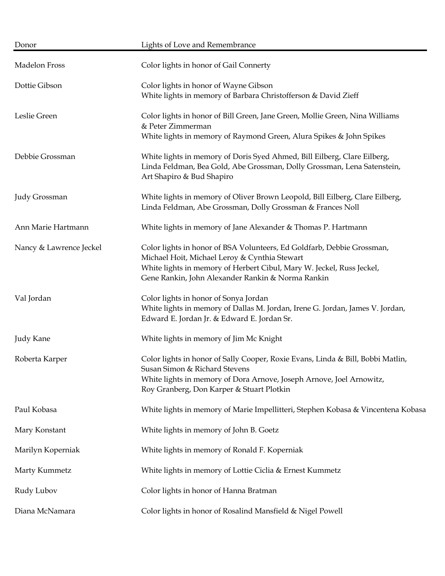| Donor                   | Lights of Love and Remembrance                                                                                                                                                                                                                        |
|-------------------------|-------------------------------------------------------------------------------------------------------------------------------------------------------------------------------------------------------------------------------------------------------|
| Madelon Fross           | Color lights in honor of Gail Connerty                                                                                                                                                                                                                |
| Dottie Gibson           | Color lights in honor of Wayne Gibson<br>White lights in memory of Barbara Christofferson & David Zieff                                                                                                                                               |
| Leslie Green            | Color lights in honor of Bill Green, Jane Green, Mollie Green, Nina Williams<br>& Peter Zimmerman<br>White lights in memory of Raymond Green, Alura Spikes & John Spikes                                                                              |
| Debbie Grossman         | White lights in memory of Doris Syed Ahmed, Bill Eilberg, Clare Eilberg,<br>Linda Feldman, Bea Gold, Abe Grossman, Dolly Grossman, Lena Satenstein,<br>Art Shapiro & Bud Shapiro                                                                      |
| Judy Grossman           | White lights in memory of Oliver Brown Leopold, Bill Eilberg, Clare Eilberg,<br>Linda Feldman, Abe Grossman, Dolly Grossman & Frances Noll                                                                                                            |
| Ann Marie Hartmann      | White lights in memory of Jane Alexander & Thomas P. Hartmann                                                                                                                                                                                         |
| Nancy & Lawrence Jeckel | Color lights in honor of BSA Volunteers, Ed Goldfarb, Debbie Grossman,<br>Michael Hoit, Michael Leroy & Cynthia Stewart<br>White lights in memory of Herbert Cibul, Mary W. Jeckel, Russ Jeckel,<br>Gene Rankin, John Alexander Rankin & Norma Rankin |
| Val Jordan              | Color lights in honor of Sonya Jordan<br>White lights in memory of Dallas M. Jordan, Irene G. Jordan, James V. Jordan,<br>Edward E. Jordan Jr. & Edward E. Jordan Sr.                                                                                 |
| Judy Kane               | White lights in memory of Jim Mc Knight                                                                                                                                                                                                               |
| Roberta Karper          | Color lights in honor of Sally Cooper, Roxie Evans, Linda & Bill, Bobbi Matlin,<br>Susan Simon & Richard Stevens<br>White lights in memory of Dora Arnove, Joseph Arnove, Joel Arnowitz,<br>Roy Granberg, Don Karper & Stuart Plotkin                 |
| Paul Kobasa             | White lights in memory of Marie Impellitteri, Stephen Kobasa & Vincentena Kobasa                                                                                                                                                                      |
| Mary Konstant           | White lights in memory of John B. Goetz                                                                                                                                                                                                               |
| Marilyn Koperniak       | White lights in memory of Ronald F. Koperniak                                                                                                                                                                                                         |
| Marty Kummetz           | White lights in memory of Lottie Ciclia & Ernest Kummetz                                                                                                                                                                                              |
| Rudy Lubov              | Color lights in honor of Hanna Bratman                                                                                                                                                                                                                |
| Diana McNamara          | Color lights in honor of Rosalind Mansfield & Nigel Powell                                                                                                                                                                                            |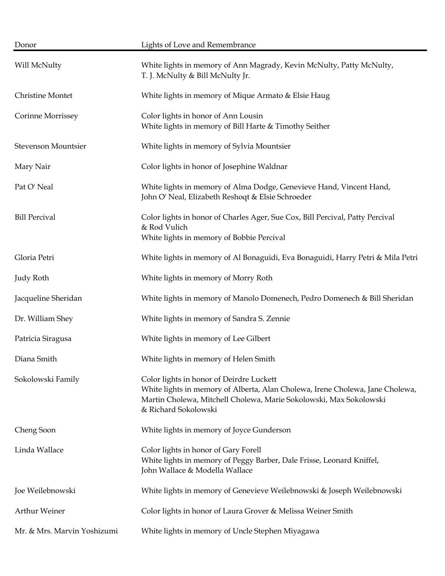| Donor                       | Lights of Love and Remembrance                                                                                                                                                                                          |
|-----------------------------|-------------------------------------------------------------------------------------------------------------------------------------------------------------------------------------------------------------------------|
| Will McNulty                | White lights in memory of Ann Magrady, Kevin McNulty, Patty McNulty,<br>T. J. McNulty & Bill McNulty Jr.                                                                                                                |
| Christine Montet            | White lights in memory of Mique Armato & Elsie Haug                                                                                                                                                                     |
| Corinne Morrissey           | Color lights in honor of Ann Lousin<br>White lights in memory of Bill Harte & Timothy Seither                                                                                                                           |
| Stevenson Mountsier         | White lights in memory of Sylvia Mountsier                                                                                                                                                                              |
| Mary Nair                   | Color lights in honor of Josephine Waldnar                                                                                                                                                                              |
| Pat O' Neal                 | White lights in memory of Alma Dodge, Genevieve Hand, Vincent Hand,<br>John O' Neal, Elizabeth Reshoqt & Elsie Schroeder                                                                                                |
| <b>Bill Percival</b>        | Color lights in honor of Charles Ager, Sue Cox, Bill Percival, Patty Percival<br>& Rod Vulich<br>White lights in memory of Bobbie Percival                                                                              |
| Gloria Petri                | White lights in memory of Al Bonaguidi, Eva Bonaguidi, Harry Petri & Mila Petri                                                                                                                                         |
| Judy Roth                   | White lights in memory of Morry Roth                                                                                                                                                                                    |
| Jacqueline Sheridan         | White lights in memory of Manolo Domenech, Pedro Domenech & Bill Sheridan                                                                                                                                               |
| Dr. William Shey            | White lights in memory of Sandra S. Zennie                                                                                                                                                                              |
| Patricia Siragusa           | White lights in memory of Lee Gilbert                                                                                                                                                                                   |
| Diana Smith                 | White lights in memory of Helen Smith                                                                                                                                                                                   |
| Sokolowski Family           | Color lights in honor of Deirdre Luckett<br>White lights in memory of Alberta, Alan Cholewa, Irene Cholewa, Jane Cholewa,<br>Martin Cholewa, Mitchell Cholewa, Marie Sokolowski, Max Sokolowski<br>& Richard Sokolowski |
| Cheng Soon                  | White lights in memory of Joyce Gunderson                                                                                                                                                                               |
| Linda Wallace               | Color lights in honor of Gary Forell<br>White lights in memory of Peggy Barber, Dale Frisse, Leonard Kniffel,<br>John Wallace & Modella Wallace                                                                         |
| Joe Weilebnowski            | White lights in memory of Genevieve Weilebnowski & Joseph Weilebnowski                                                                                                                                                  |
| Arthur Weiner               | Color lights in honor of Laura Grover & Melissa Weiner Smith                                                                                                                                                            |
| Mr. & Mrs. Marvin Yoshizumi | White lights in memory of Uncle Stephen Miyagawa                                                                                                                                                                        |